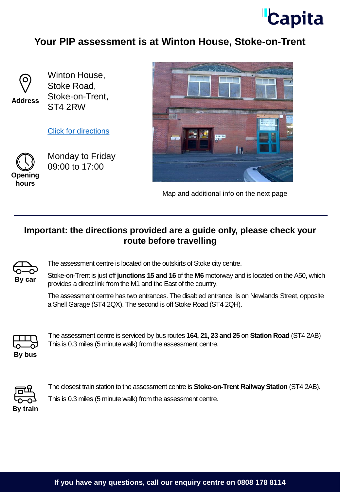

## **Your PIP assessment is at Winton House, Stoke-on-Trent**



**Address**

Winton House, Stoke Road, Stoke-on-Trent, ST4 2RW

[Click for directions](https://goo.gl/maps/KoJcFKRMNAKoqbtX7)



Monday to Friday 09:00 to 17:00





Map and additional info on the next page

## **Important: the directions provided are a guide only, please check your route before travelling**



The assessment centre is located on the outskirts of Stoke city centre.

Stoke-on-Trent is just off **junctions 15 and 16** of the **M6** motorway and is located on the A50, which provides a direct link from the M1 and the East of the country.

The assessment centre has two entrances. The disabled entrance is on Newlands Street, opposite a Shell Garage (ST4 2QX). The second is off Stoke Road (ST4 2QH).



The assessment centre is serviced by bus routes **164, 21, 23 and 25** on **Station Road** (ST4 2AB) This is 0.3 miles (5 minute walk) from the assessment centre.

**By bus**



The closest train station to the assessment centre is **Stoke-on-Trent Railway Station** (ST4 2AB). This is 0.3 miles (5 minute walk) from the assessment centre.